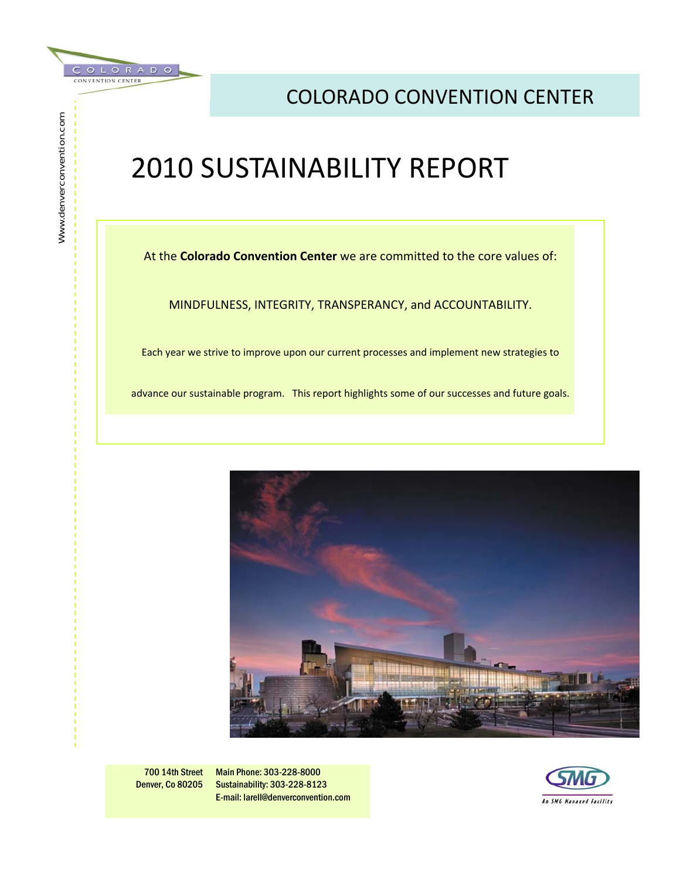

Www.denverconvention.com

Www.denverconvention.com

### COLORADO CONVENTION CENTER

## 2010 SUSTAINABILITY REPORT

At the **Colorado Convention Center** we are committed to the core values of:

MINDFULNESS, INTEGRITY, TRANSPERANCY, and ACCOUNTABILITY.

Each year we strive to improve upon our current processes and implement new strategies to

advance our sustainable program. This report highlights some of our successes and future goals.



700 14th Street Denver, Co 80205

Main Phone: 303-228-8000 Sustainability: 303-228-8123 E-mail: larell@denverconvention.com

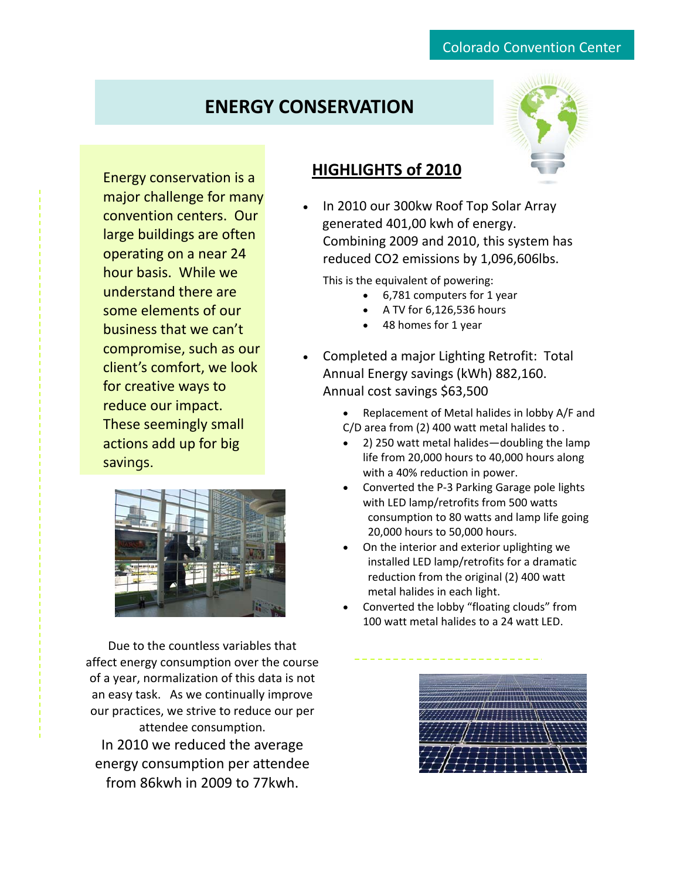### **ENERGY CONSERVATION**



Energy conservation is a major challenge for many convention centers. Our large buildings are often operating on a near 24 hour basis. While we understand there are some elements of our business that we can't compromise, such as our client's comfort, we look for creative ways to reduce our impact. These seemingly small actions add up for big savings.



Due to the countless variables that affect energy consumption over the course of a year, normalization of this data is not an easy task. As we continually improve our practices, we strive to reduce our per attendee consumption. In 2010 we reduced the average energy consumption per attendee from 86kwh in 2009 to 77kwh.

#### **HIGHLIGHTS of 2010**

• In 2010 our 300kw Roof Top Solar Array generated 401,00 kwh of energy. Combining 2009 and 2010, this system has reduced CO2 emissions by 1,096,606lbs.

This is the equivalent of powering:

- 6,781 computers for 1 year
- A TV for 6,126,536 hours
- 48 homes for 1 year
- Completed a major Lighting Retrofit: Total Annual Energy savings (kWh) 882,160. Annual cost savings \$63,500
	- Replacement of Metal halides in lobby A/F and C/D area from (2) 400 watt metal halides to .
	- 2) 250 watt metal halides—doubling the lamp life from 20,000 hours to 40,000 hours along with a 40% reduction in power.
	- Converted the P‐3 Parking Garage pole lights with LED lamp/retrofits from 500 watts consumption to 80 watts and lamp life going 20,000 hours to 50,000 hours.
	- On the interior and exterior uplighting we installed LED lamp/retrofits for a dramatic reduction from the original (2) 400 watt metal halides in each light.
	- Converted the lobby "floating clouds" from 100 watt metal halides to a 24 watt LED.

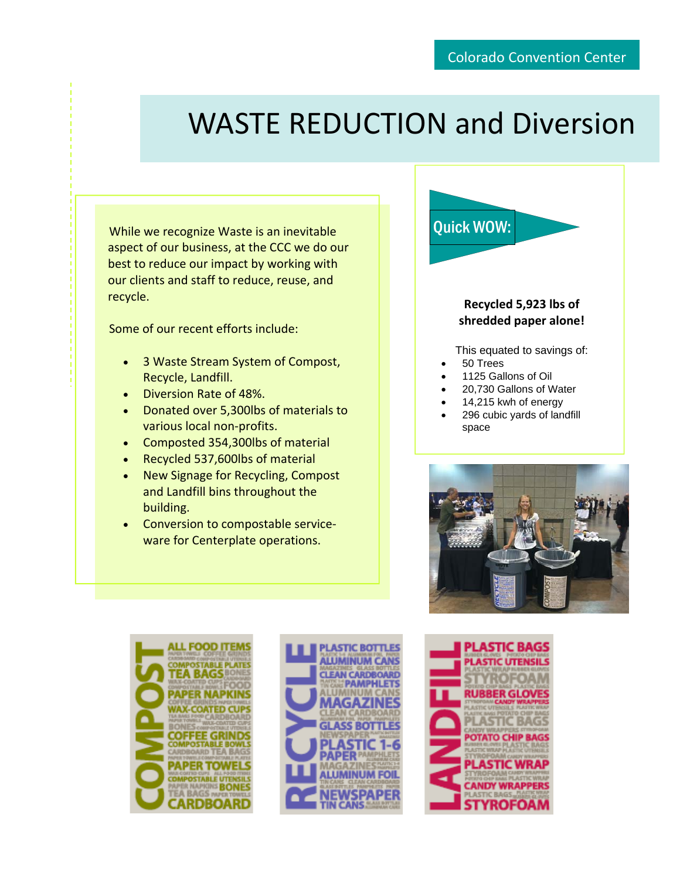# WASTE REDUCTION and Diversion

While we recognize Waste is an inevitable aspect of our business, at the CCC we do our best to reduce our impact by working with our clients and staff to reduce, reuse, and recycle.

Some of our recent efforts include:

- 3 Waste Stream System of Compost, Recycle, Landfill.
- Diversion Rate of 48%.
- Donated over 5,300lbs of materials to various local non‐profits.
- Composted 354,300lbs of material
- Recycled 537,600lbs of material
- New Signage for Recycling, Compost and Landfill bins throughout the building.
- Conversion to compostable service‐ ware for Centerplate operations.

#### **Recycled 5,923 lbs of shredded paper alone!**

This equated to savings of:

• 50 Trees

Quick WOW:

- 1125 Gallons of Oil
- 20,730 Gallons of Water
- 14,215 kwh of energy
- 296 cubic yards of landfill space







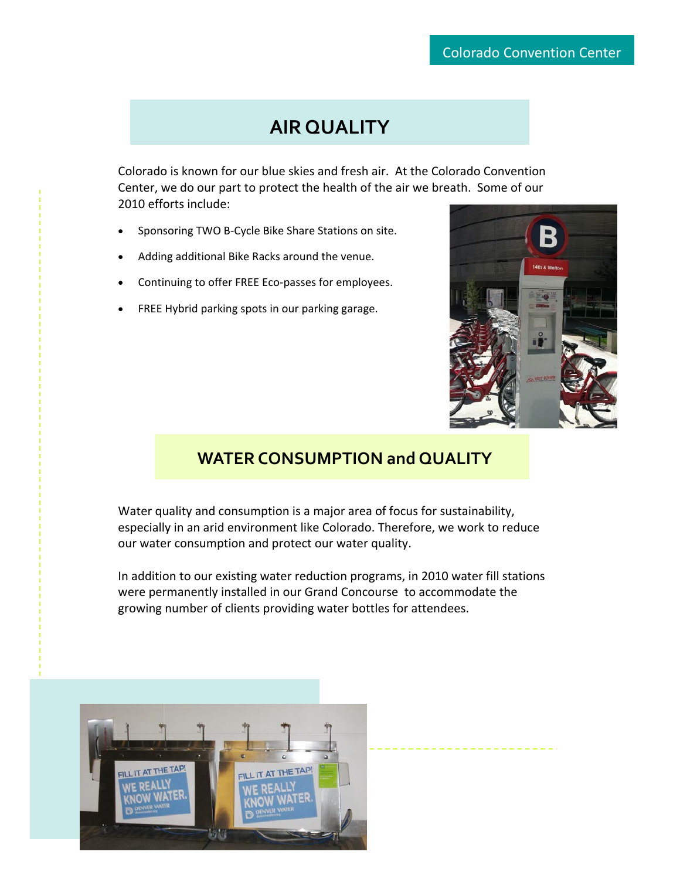### **AIR QUALITY**

Colorado is known for our blue skies and fresh air. At the Colorado Convention Center, we do our part to protect the health of the air we breath. Some of our 2010 efforts include:

- Sponsoring TWO B-Cycle Bike Share Stations on site.
- Adding additional Bike Racks around the venue.
- Continuing to offer FREE Eco-passes for employees.
- FREE Hybrid parking spots in our parking garage.



#### **WATER CONSUMPTION and QUALITY**

Water quality and consumption is a major area of focus for sustainability, especially in an arid environment like Colorado. Therefore, we work to reduce our water consumption and protect our water quality.

In addition to our existing water reduction programs, in 2010 water fill stations were permanently installed in our Grand Concourse to accommodate the growing number of clients providing water bottles for attendees.